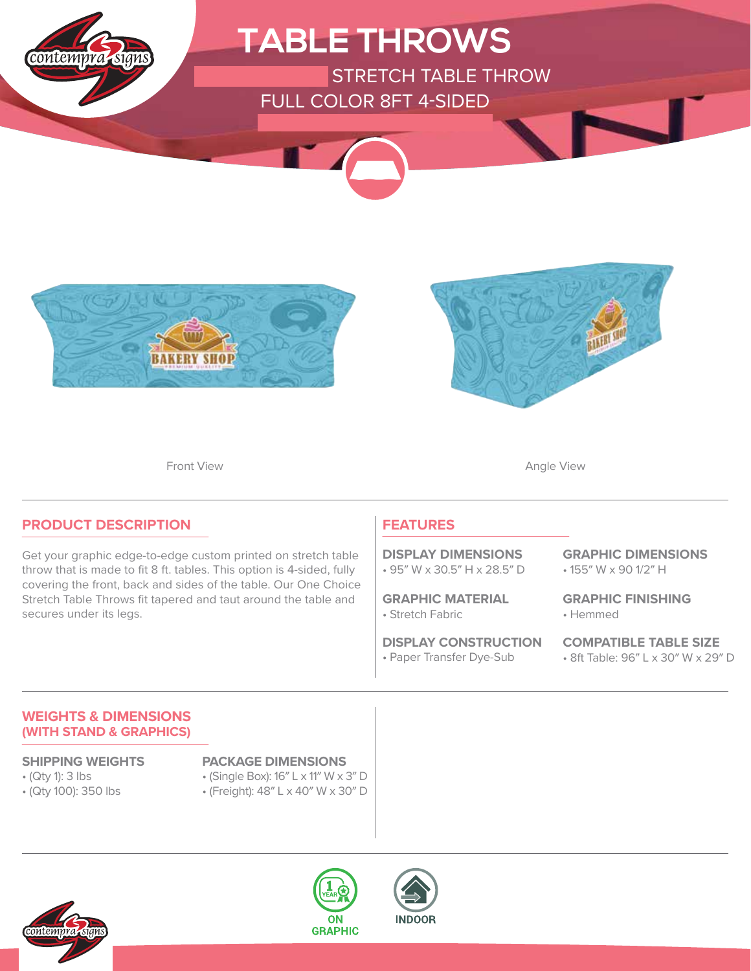





Front View **Angle View Angle View** 

### **PRODUCT DESCRIPTION**

Get your graphic edge-to-edge custom printed on stretch table throw that is made to fit 8 ft. tables. This option is 4-sided, fully covering the front, back and sides of the table. Our One Choice Stretch Table Throws fit tapered and taut around the table and secures under its legs.

### **FEATURES**

• 95″ W x 30.5″ H x 28.5″ D **DISPLAY DIMENSIONS**

• Stretch Fabric **GRAPHIC MATERIAL**

• Paper Transfer Dye-Sub **DISPLAY CONSTRUCTION** • 155″ W x 90 1/2″ H **GRAPHIC DIMENSIONS**

• Hemmed **GRAPHIC FINISHING**

**COMPATIBLE TABLE SIZE** • 8ft Table: 96″ L x 30″ W x 29″ D

### **WEIGHTS & DIMENSIONS (WITH STAND & GRAPHICS)**

- (Qty 1): 3 lbs
- (Qty 100): 350 lbs

### **SHIPPING WEIGHTS PACKAGE DIMENSIONS**

- (Single Box): 16″ L x 11″ W x 3″ D
- (Freight): 48″ L x 40″ W x 30″ D